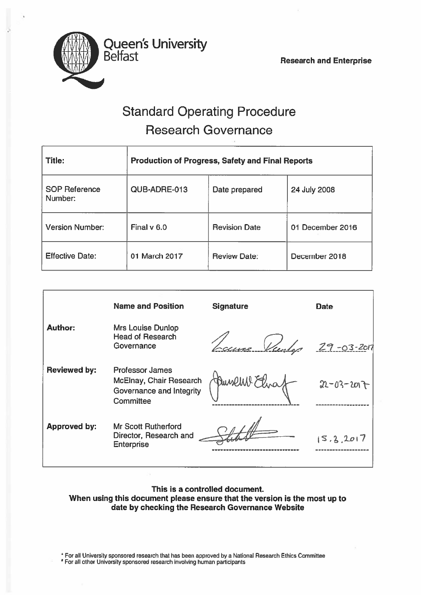

# Standard Operating Procedure Research Governance

| <b>Title:</b>                   | <b>Production of Progress, Safety and Final Reports</b> |                      |                  |
|---------------------------------|---------------------------------------------------------|----------------------|------------------|
| <b>SOP Reference</b><br>Number: | QUB-ADRE-013                                            | Date prepared        | 24 July 2008     |
| <b>Version Number:</b>          | Final $v$ 6.0                                           | <b>Revision Date</b> | 01 December 2016 |
| <b>Effective Date:</b>          | 01 March 2017                                           | <b>Review Date:</b>  | December 2018    |

|                     | <b>Name and Position</b>                                                                   | <b>Signature</b> | <b>Date</b>      |
|---------------------|--------------------------------------------------------------------------------------------|------------------|------------------|
| <b>Author:</b>      | Mrs Louise Dunlop<br><b>Head of Research</b><br>Governance                                 | ne Viendez       | $29 - 03 - 201$  |
| <b>Reviewed by:</b> | <b>Professor James</b><br>McElnay, Chair Research<br>Governance and Integrity<br>Committee |                  | $22 - 03 - 2017$ |
| <b>Approved by:</b> | <b>Mr Scott Rutherford</b><br>Director, Research and<br><b>Enterprise</b>                  |                  | 15.3, 2017       |

### This is <sup>a</sup> controlled document. When using this document please ensure that the version is the most up to date by checking the Research Governance Website

• For all University sponsored research that has been approved by <sup>a</sup> National Research Ethics commiftee

For all other University sponsored research involving human participants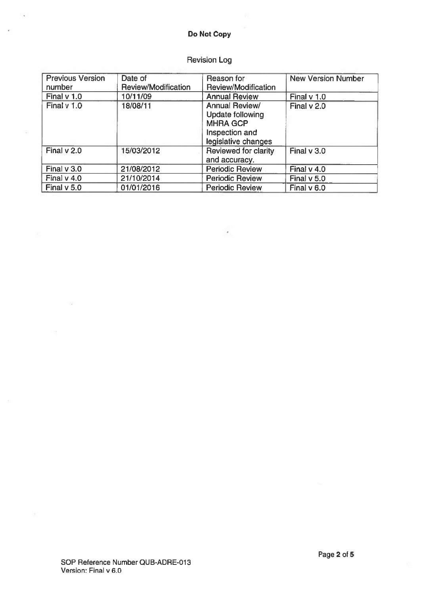## Do Not Copy

J.

# Revision Log

| <b>Previous Version</b> | Date of             | Reason for                                                                                            | <b>New Version Number</b> |
|-------------------------|---------------------|-------------------------------------------------------------------------------------------------------|---------------------------|
| number                  | Review/Modification | Review/Modification                                                                                   |                           |
| Final $v$ 1.0           | 10/11/09            | <b>Annual Review</b>                                                                                  | Final v 1.0               |
| Final v 1.0             | 18/08/11            | Annual Review/<br><b>Update following</b><br><b>MHRA GCP</b><br>Inspection and<br>legislative changes | Final $v$ 2.0             |
| Final $v$ 2.0           | 15/03/2012          | Reviewed for clarity<br>and accuracy.                                                                 | Final $v$ 3.0             |
| Final $v$ 3.0           | 21/08/2012          | <b>Periodic Review</b>                                                                                | Final $v$ 4.0             |
| Final $v$ 4.0           | 21/10/2014          | <b>Periodic Review</b>                                                                                | Final $v$ 5.0             |
| Final $v$ 5.0           | 01/01/2016          | <b>Periodic Review</b>                                                                                | Final $v$ 6.0             |

 $\overline{\phantom{a}}$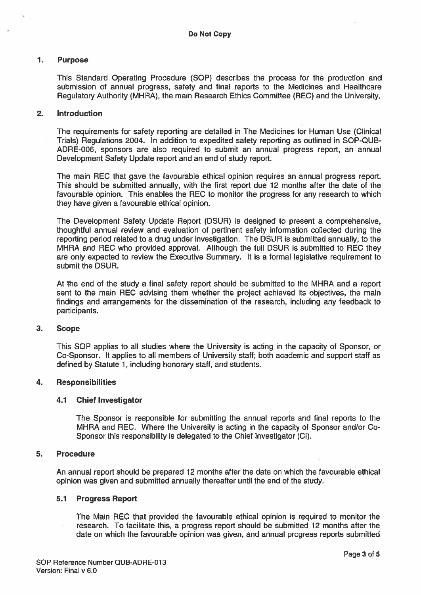#### 1. Purpose

This Standard Operating Procedure (SOP) describes the process for the production and submission of annual progress, safety and final reports to the Medicines and Healthcare Regulatory Authority (MHRA), the main Research Ethics Committee (REC) and the University.

#### 2. Introduction

The requirements for safety reporting are detailed in The Medicines for Human Use (Clinical Trials) Regulations 2004. In addition to expedited safety reporting as outlined in SOP-QUB ADRE-006, sponsors are also required to submit an annual progress report, an annual Development Safety Update repor<sup>t</sup> and an end of study report.

The main REC that gave the favourable ethical opinion requires an annual progress report. This should be submitted annually, with the first repor<sup>t</sup> due 12 months after the date of the favourable opinion. This enables the REC to monitor the progress for any research to which they have given <sup>a</sup> favourable ethical opinion.

The Development Safety Update Report (DSUR) is designed to presen<sup>t</sup> <sup>a</sup> comprehensive, thoughtful annual review and evaluation of pertinent safety information collected during the reporting period related to <sup>a</sup> drug under investigation. The DSUR is submitted annually, to the MHRA and REC who provided approval. Although the full DSUR is submitted to REC they are only expected to review the Executive Summary. It is <sup>a</sup> formal legislative requirement to submit the DSUR.

At the end of the study <sup>a</sup> final safety repor<sup>t</sup> should be submitted to the MHRA and <sup>a</sup> repor<sup>t</sup> sent to the main REC advising them whether the project achieved its objectives, the main findings and arrangements for the dissemination of the research, including any feedback to participants.

#### 3. Scope

This SOP applies to all studies where the University is acting in the capacity of Sponsor, or Co-Sponsor. It applies to all members of University staff; both academic and support staff as defined by Statute 1, including honorary staff, and students.

#### 4. Responsibilities

#### 4.1 Chief Investigator

The Sponsor is responsible for submitting the annual reports and final reports to the MHRA and REC. Where the University is acting in the capacity of Sponsor and/or Co Sponsor this responsibility is delegated to the Chief Investigator (CI).

#### 5. Procedure

An annual repor<sup>t</sup> should be prepared 12 months after the date on which the favourable ethical opinion was given and submitted annually thereafter until the end of the study.

#### 5.1 Progress Report

The Main REC that provided the favourable ethical opinion is required to monitor the research. To facilitate this, <sup>a</sup> progress repor<sup>t</sup> should be submitted 12 months after the date on which the favourable opinion was given, and annual progress reports submitted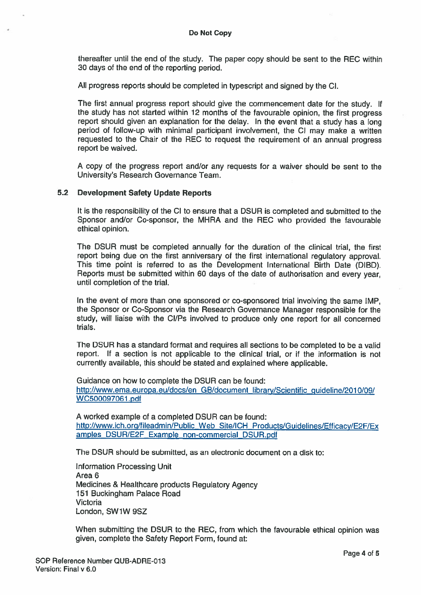thereafter until the end of the study. The paper copy should be sent to the REC within 30 days of the end of the reporting period.

All progress reports should be completed in typescript and signed by the Cl.

The first annual progress repor<sup>t</sup> should <sup>g</sup>ive the commencement date for the study. If the study has not started within <sup>12</sup> months of the favourable opinion, the first progress report should given an explanation for the delay. In the event that a study has a long period of follow-up with minimal participant involvement, the Cl may make <sup>a</sup> written requested to the Chair of the REC to reques<sup>t</sup> the requirement of an annual progress repor<sup>t</sup> be waived.

A copy of the progress repor<sup>t</sup> and/or any requests for <sup>a</sup> waiver should be sent to the University's Research Governance Team.

#### 5.2 Development Safety Update Reports

It is the responsibility of the Cl to ensure that <sup>a</sup> DSUR is completed and submitted to the Sponsor and/or Co-sponsor, the MHRA and the REC who provided the favourable ethical opinion.

The DSUR must be completed annually for the duration of the clinical trial, the first repor<sup>t</sup> being due on the first anniversary of the first international regulatory approval. This time point is referred to as the Development International Birth Date (DIBD). Reports must be submitted within <sup>60</sup> days of the date of authorisation and every year, until completion of the trial.

In the event of more than one sponsored or co-sponsored trial involving the same IMP, the Sponsor or Co-Sponsor via the Research Governance Manager responsible for the study, will liaise with the Cl/Ps involved to produce only one repor<sup>t</sup> for all concerned trials.

The DSUR has <sup>a</sup> standard format and requires all sections to be completed to be <sup>a</sup> valid report. If <sup>a</sup> section is not applicable to the clinical trial, or if the information is not currently available, this should be stated and explained where applicable.

Guidance on how to complete the DSUR can be found: http://www.ema.europa.eu/docs/en GB/document\_library/Scientific guideline/2010/09/ WC500097061 .pdf

A worked example of <sup>a</sup> completed DSUR can be found: http://www.ich.org/fileadmin/Public Web Site/ICR Products/Guidelines/Efficacy/E2F/Ex amples DSUR/E2F Example non-commercial DSUR.pdf

The DSUR should be submitted, as an electronic document on <sup>a</sup> disk to:

Information Processing Unit Area 6 Medicines & Healthcare products Regulatory Agency 151 Buckingham Palace Road Victoria London, SW1W 95Z

When submitting the DSUR to the REC, from which the favourable ethical opinion was given, complete the Safety Report Form, found at: